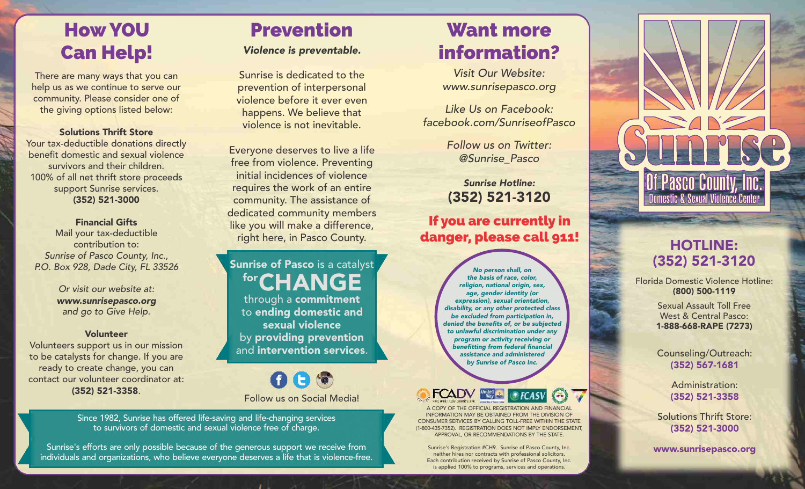## How YOU Can Help!

There are many ways that you can help us as we continue to serve our community. Please consider one of the giving options listed below:

Solutions Thrift Store Your tax-deductible donations directly benefit domestic and sexual violence survivors and their children. 100% of all net thrift store proceeds support Sunrise services. (352) 521-3000

Financial Gifts Mail your tax-deductible contribution to: Sunrise of Pasco County, Inc., P.O. Box 928, Dade City, FL 33526

> Or visit our website at: www.sunrisepasco.org and go to Give Help.

#### Volunteer

Volunteers support us in our mission to be catalysts for change. If you are ready to create change, you can contact our volunteer coordinator at: (352) 521-3358.

## Prevention

Violence is preventable.

Sunrise is dedicated to the prevention of interpersonal violence before it ever even happens. We believe that violence is not inevitable.

Everyone deserves to live a life free from violence. Preventing initial incidences of violence requires the work of an entire community. The assistance of dedicated community members like you will make a difference, right here, in Pasco County.

#### **Sunrise of Pasco** is a catalyst for CHANGE

through a commitment to ending domestic and sexual violence by providing prevention

 $000$ Follow us on Social Media!

Since 1982, Sunrise has offered life-saving and life-changing services to survivors of domestic and sexual violence free of charge.

Sunrise's efforts are only possible because of the generous support we receive from individuals and organizations, who believe everyone deserves a life that is violence-free.

## Want more information?

Visit Our Website: www.sunrisepasco.org

Like Us on Facebook: facebook.com/SunriseofPasco

> Follow us on Twitter: @Sunrise\_Pasco

Sunrise Hotline: (352) 521-3120

If you are currently in danger, please call 911!

No person shall, on the basis of race, color, religion, national origin, sex, age, gender identity (or expression), sexual orientation, disability, or any other protected class be excluded from participation in, denied the benefits of, or be subjected to unlawful discrimination under any program or activity receiving or benefitting from federal financial assistance and administered by Sunrise of Pasco Inc. and intervention services.



A COPY OF THE OFFICIAL REGISTRATION AND FINANCIAL INFORMATION MAY BE OBTAINED FROM THE DIVISION OF CONSUMER SERVICES BY CALLING TOLL-FREE WITHIN THE STATE (1-800-435-7352). REGISTRATION DOES NOT IMPLY ENDORSEMENT, APPROVAL, OR RECOMMENDATIONS BY THE STATE.

Sunrise's Registration #CH9. Sunrise of Pasco County, Inc. neither hires nor contracts with professional solicitors. Each contribution received by Sunrise of Pasco County, Inc. is applied 100% to programs, services and operations.



#### HOTLINE: (352) 521-3120

Florida Domestic Violence Hotline: (800) 500-1119

> Sexual Assault Toll Free West & Central Pasco: 1-888-668-RAPE (7273)

(352) 567-1681

Administration: (352) 521-3358

Solutions Thrift Store: (352) 521-3000

www.sunrisepasco.org